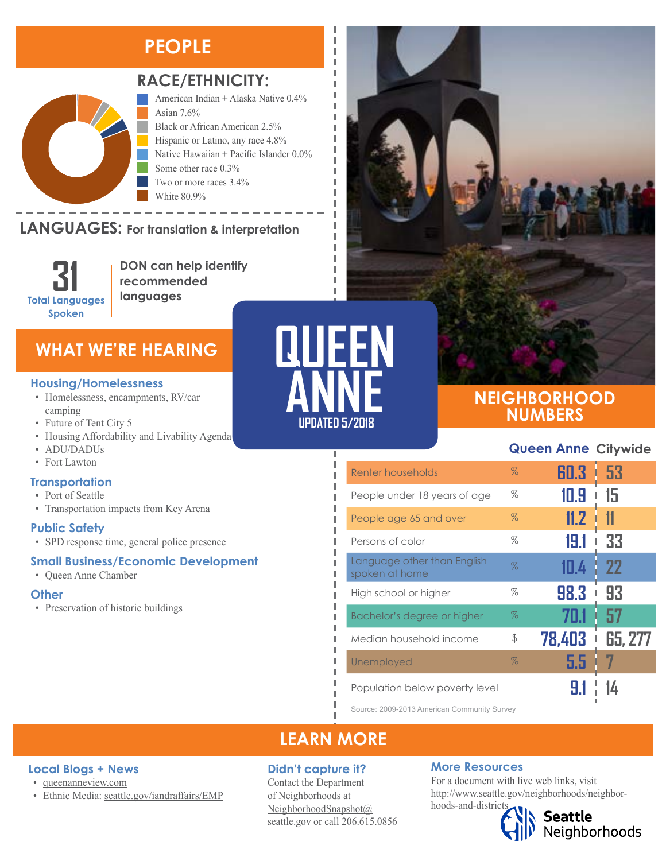# **PEOPLE**



## **RACE/ETHNICITY:**

American Indian + Alaska Native 0.4% Asian 7.6% Black or African American 2.5% Hispanic or Latino, any race 4.8% Native Hawaiian + Pacific Islander 0.0% Some other race 0.3% Two or more races 3.4% White 80.9%

#### LANGUAGES: For translation & interpretation Two or More Races White



American Indian and Alaska Native Asian Black or African American

**DON can help identify recommended languages**

## **WHAT WE'RE HEARING**

#### **Housing/Homelessness**

- Homelessness, encampments, RV/car camping
- Future of Tent City 5
- Housing Affordability and Livability Agenda
- ADU/DADUs
- Fort Lawton

#### **Transportation**

- Port of Seattle
- Transportation impacts from Key Arena

#### **Public Safety**

• SPD response time, general police presence

#### **Small Business/Economic Development**

• Queen Anne Chamber

**Local Blogs + News** • [queenanneview.com](https://queenanneview.com/)

• Ethnic Media: [seattle.gov/iandraffairs/EMP](http://www.seattle.gov/iandraffairs/EMP)

#### **Other**

• Preservation of historic buildings



Ī I I I I

п л I I л I л I I п П I, Ī I л



## **NEIGHBORHOOD NUMBERS**

## **Queen Anne Citywide**

| Renter households                             | $\%$ | 60.3   | i 53           |
|-----------------------------------------------|------|--------|----------------|
| People under 18 years of age                  | $\%$ | 10.9   | 15             |
| People age 65 and over                        | $\%$ | 11.2   | 11             |
| Persons of color                              | $\%$ | 19.1   | 33             |
| Language other than English<br>spoken at home | $\%$ | 111.4  | <b>22</b>      |
| High school or higher                         | %    | 98.3   | 93<br>ı        |
| Bachelor's degree or higher                   | $\%$ | 70.1   | 57             |
| Median household income                       | \$   | 78.403 | <b>65, 277</b> |
| Unemployed                                    | $\%$ | 5.5    |                |
| Population below poverty level                |      |        |                |

Source: 2009-2013 American Community Survey

## **LEARN MORE**

#### **Didn't capture it?**

Contact the Department of Neighborhoods at [NeighborhoodSnapshot@](mailto:NeighborhoodSnapshot%40%0Aseattle.gov?subject=) [seattle.gov](mailto:NeighborhoodSnapshot%40%0Aseattle.gov?subject=) or call 206.615.0856

#### **More Resources**

For a document with live web links, visit [http://www.seattle.gov/neighborhoods/neighbor](http://www.seattle.gov/neighborhoods/neighborhoods-and-districts)[hoods-and-districts](http://www.seattle.gov/neighborhoods/neighborhoods-and-districts)



Seattle<br>Neighborhoods